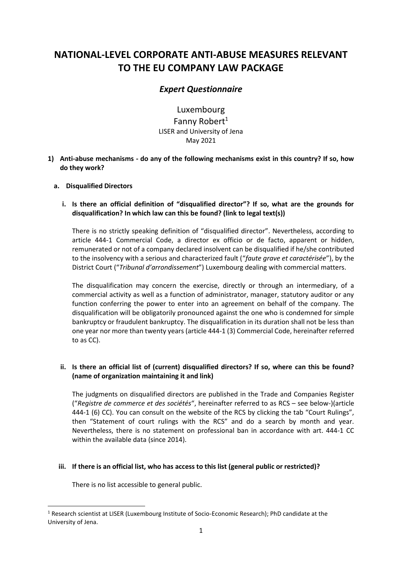# **NATIONAL-LEVEL CORPORATE ANTI-ABUSE MEASURES RELEVANT TO THE EU COMPANY LAW PACKAGE**

# *Expert Questionnaire*

Luxembourg Fanny Robert $1$ LISER and University of Jena May 2021

- **1) Anti-abuse mechanisms - do any of the following mechanisms exist in this country? If so, how do they work?**
	- **a. Disqualified Directors**
		- **i. Is there an official definition of "disqualified director"? If so, what are the grounds for disqualification? In which law can this be found? (link to legal text(s))**

There is no strictly speaking definition of "disqualified director". Nevertheless, according to article 444-1 Commercial Code, a director ex officio or de facto, apparent or hidden, remunerated or not of a company declared insolvent can be disqualified if he/she contributed to the insolvency with a serious and characterized fault ("*faute grave et caractérisée*"), by the District Court ("*Tribunal d'arrondissement*") Luxembourg dealing with commercial matters.

The disqualification may concern the exercise, directly or through an intermediary, of a commercial activity as well as a function of administrator, manager, statutory auditor or any function conferring the power to enter into an agreement on behalf of the company. The disqualification will be obligatorily pronounced against the one who is condemned for simple bankruptcy or fraudulent bankruptcy. The disqualification in its duration shall not be less than one year nor more than twenty years (article 444-1 (3) Commercial Code, hereinafter referred to as CC).

# **ii. Is there an official list of (current) disqualified directors? If so, where can this be found? (name of organization maintaining it and link)**

The judgments on disqualified directors are published in the Trade and Companies Register ("*Registre de commerce et des sociétés*", hereinafter referred to as RCS – see below-)(article 444-1 (6) CC). You can consult on the website of the RCS by clicking the tab "Court Rulings", then "Statement of court rulings with the RCS" and do a search by month and year. Nevertheless, there is no statement on professional ban in accordance with art. 444-1 CC within the available data (since 2014).

# **iii. If there is an official list, who has access to this list (general public or restricted)?**

There is no list accessible to general public.

<sup>1</sup> Research scientist at LISER (Luxembourg Institute of Socio-Economic Research); PhD candidate at the University of Jena.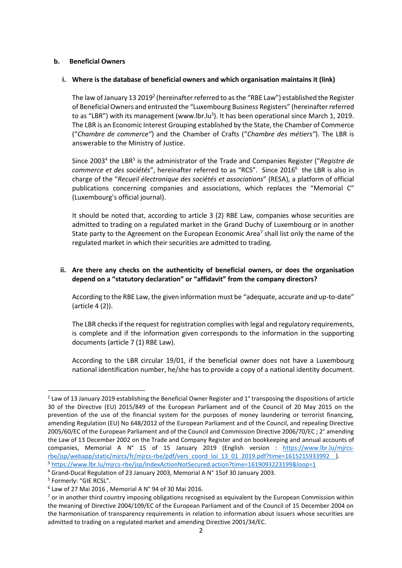#### **b. Beneficial Owners**

#### **i. Where is the database of beneficial owners and which organisation maintains it (link)**

The law of January 13 2019<sup>2</sup> (hereinafter referred to as the "RBE Law") established the Register of Beneficial Owners and entrusted the "Luxembourg Business Registers" (hereinafter referred to as "LBR") with its management (www.lbr.lu<sup>3</sup>). It has been operational since March 1, 2019. The LBR is an Economic Interest Grouping established by the State, the Chamber of Commerce ("*Chambre de commerce"*) and the Chamber of Crafts ("*Chambre des métiers"*). The LBR is answerable to the Ministry of Justice.

Since 2003<sup>4</sup> the LBR<sup>5</sup> is the administrator of the Trade and Companies Register ("Registre de commerce et des sociétés", hereinafter referred to as "RCS". Since 2016<sup>6</sup> the LBR is also in charge of the "*Recueil électronique des sociétés et associations*" (RESA), a platform of official publications concerning companies and associations, which replaces the "Memorial C" (Luxembourg's official journal).

It should be noted that, according to article 3 (2) RBE Law, companies whose securities are admitted to trading on a regulated market in the Grand Duchy of Luxembourg or in another State party to the Agreement on the European Economic Area<sup>7</sup> shall list only the name of the regulated market in which their securities are admitted to trading.

# **ii. Are there any checks on the authenticity of beneficial owners, or does the organisation depend on a "statutory declaration" or "affidavit" from the company directors?**

According to the RBE Law, the given information must be "adequate, accurate and up-to-date" (article 4 (2)).

The LBR checks if the request for registration complies with legal and regulatory requirements, is complete and if the information given corresponds to the information in the supporting documents (article 7 (1) RBE Law).

According to the LBR circular 19/01, if the beneficial owner does not have a Luxembourg national identification number, he/she has to provide a copy of a national identity document.

<sup>&</sup>lt;sup>2</sup> Law of 13 January 2019 establishing the Beneficial Owner Register and 1° transposing the dispositions of article 30 of the Directive (EU) 2015/849 of the European Parliament and of the Council of 20 May 2015 on the prevention of the use of the financial system for the purposes of money laundering or terrorist financing, amending Regulation (EU) No 648/2012 of the European Parliament and of the Council, and repealing Directive 2005/60/EC of the European Parliament and of the Council and Commission Directive 2006/70/EC ; 2° amending the Law of 13 December 2002 on the Trade and Company Register and on bookkeeping and annual accounts of companies, Memorial A N° 15 of 15 January 2019 (English version : [https://www.lbr.lu/mjrcs](https://www.lbr.lu/mjrcs-rbe/jsp/webapp/static/mjrcs/fr/mjrcs-rbe/pdf/vers_coord_loi_13_01_2019.pdf?time=1615215933992)[rbe/jsp/webapp/static/mjrcs/fr/mjrcs-rbe/pdf/vers\\_coord\\_loi\\_13\\_01\\_2019.pdf?time=1615215933992](https://www.lbr.lu/mjrcs-rbe/jsp/webapp/static/mjrcs/fr/mjrcs-rbe/pdf/vers_coord_loi_13_01_2019.pdf?time=1615215933992) ). <sup>3</sup> <https://www.lbr.lu/mjrcs-rbe/jsp/IndexActionNotSecured.action?time=1619093223199&loop=1>

<sup>4</sup> Grand-Ducal Regulation of 23 January 2003, Memorial A N° 15of 30 January 2003.

<sup>&</sup>lt;sup>5</sup> Formerly: "GIE RCSL".

 $6$  Law of 27 Mai 2016, Memorial A N° 94 of 30 Mai 2016.

 $<sup>7</sup>$  or in another third country imposing obligations recognised as equivalent by the European Commission within</sup> the meaning of Directive 2004/109/EC of the European Parliament and of the Council of 15 December 2004 on the harmonisation of transparency requirements in relation to information about issuers whose securities are admitted to trading on a regulated market and amending Directive 2001/34/EC.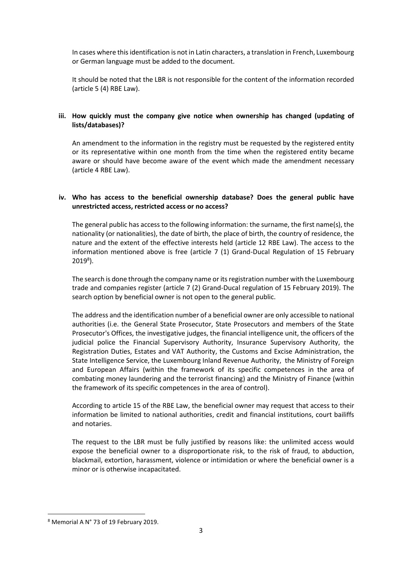In cases where this identification is not in Latin characters, a translation in French, Luxembourg or German language must be added to the document.

It should be noted that the LBR is not responsible for the content of the information recorded (article 5 (4) RBE Law).

# **iii. How quickly must the company give notice when ownership has changed (updating of lists/databases)?**

An amendment to the information in the registry must be requested by the registered entity or its representative within one month from the time when the registered entity became aware or should have become aware of the event which made the amendment necessary (article 4 RBE Law).

# **iv. Who has access to the beneficial ownership database? Does the general public have unrestricted access, restricted access or no access?**

The general public has access to the following information: the surname, the first name(s), the nationality (or nationalities), the date of birth, the place of birth, the country of residence, the nature and the extent of the effective interests held (article 12 RBE Law). The access to the information mentioned above is free (article 7 (1) Grand-Ducal Regulation of 15 February 2019<sup>8</sup>).

The search is done through the company name or its registration number with the Luxembourg trade and companies register (article 7 (2) Grand-Ducal regulation of 15 February 2019). The search option by beneficial owner is not open to the general public.

The address and the identification number of a beneficial owner are only accessible to national authorities (i.e. the General State Prosecutor, State Prosecutors and members of the State Prosecutor's Offices, the investigative judges, the financial intelligence unit, the officers of the judicial police the Financial Supervisory Authority, Insurance Supervisory Authority, the Registration Duties, Estates and VAT Authority, the Customs and Excise Administration, the State Intelligence Service, the Luxembourg Inland Revenue Authority, the Ministry of Foreign and European Affairs (within the framework of its specific competences in the area of combating money laundering and the terrorist financing) and the Ministry of Finance (within the framework of its specific competences in the area of control).

According to article 15 of the RBE Law, the beneficial owner may request that access to their information be limited to national authorities, credit and financial institutions, court bailiffs and notaries.

The request to the LBR must be fully justified by reasons like: the unlimited access would expose the beneficial owner to a disproportionate risk, to the risk of fraud, to abduction, blackmail, extortion, harassment, violence or intimidation or where the beneficial owner is a minor or is otherwise incapacitated.

<sup>8</sup> Memorial A N° 73 of 19 February 2019.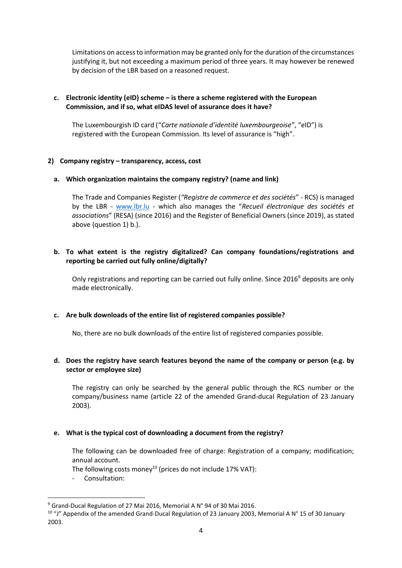Limitations on access to information may be granted only for the duration of the circumstances justifying it, but not exceeding a maximum period of three years. It may however be renewed by decision of the LBR based on a reasoned request.

# **c. Electronic identity (eID) scheme – is there a scheme registered with the European Commission, and if so, what eIDAS level of assurance does it have?**

The Luxembourgish ID card ("*Carte nationale d'identité luxembourgeoise"*, "eID") is registered with the European Commission. Its level of assurance is "high".

#### **2) Company registry – transparency, access, cost**

#### **a. Which organization maintains the company registry? (name and link)**

The Trade and Companies Register (*"Registre de commerce et des sociétés*" - RCS) is managed by the LBR - [www.lbr.lu](http://www.lbr.lu/) - which also manages the "*Recueil électronique des sociétés et associations*" (RESA) (since 2016) and the Register of Beneficial Owners (since 2019), as stated above (question 1) b.).

#### **b. To what extent is the registry digitalized? Can company foundations/registrations and reporting be carried out fully online/digitally?**

Only registrations and reporting can be carried out fully online. Since 2016<sup>9</sup> deposits are only made electronically.

#### **c. Are bulk downloads of the entire list of registered companies possible?**

No, there are no bulk downloads of the entire list of registered companies possible.

# **d. Does the registry have search features beyond the name of the company or person (e.g. by sector or employee size)**

The registry can only be searched by the general public through the RCS number or the company/business name (article 22 of the amended Grand-ducal Regulation of 23 January 2003).

#### **e. What is the typical cost of downloading a document from the registry?**

The following can be downloaded free of charge: Registration of a company; modification; annual account.

The following costs money<sup>10</sup> (prices do not include 17% VAT):

- Consultation:

<sup>9</sup> Grand-Ducal Regulation of 27 Mai 2016, Memorial A N° 94 of 30 Mai 2016.

<sup>&</sup>lt;sup>10</sup> "J" Appendix of the amended Grand-Ducal Regulation of 23 January 2003, Memorial A N° 15 of 30 January 2003.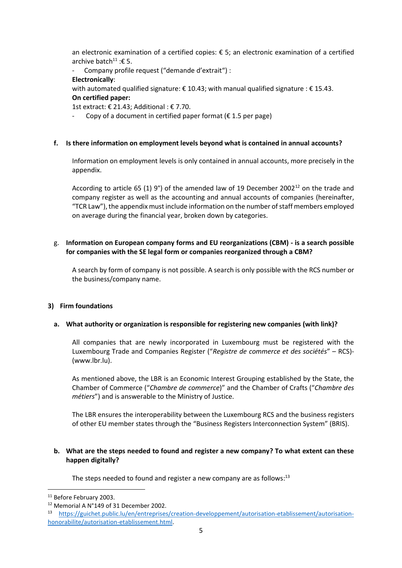an electronic examination of a certified copies: € 5; an electronic examination of a certified archive batch<sup>11</sup> : € 5.

- Company profile request ("demande d'extrait") :

# **Electronically**:

with automated qualified signature:  $\epsilon$  10.43; with manual qualified signature:  $\epsilon$  15.43. **On certified paper:** 

1st extract: € 21.43; Additional : € 7.70.

Copy of a document in certified paper format ( $\epsilon$  1.5 per page)

#### **f. Is there information on employment levels beyond what is contained in annual accounts?**

Information on employment levels is only contained in annual accounts, more precisely in the appendix.

According to article 65 (1) 9°) of the amended law of 19 December 2002<sup>12</sup> on the trade and company register as well as the accounting and annual accounts of companies (hereinafter, "TCR Law"), the appendix must include information on the number of staff members employed on average during the financial year, broken down by categories.

# g. **Information on European company forms and EU reorganizations (CBM) - is a search possible for companies with the SE legal form or companies reorganized through a CBM?**

A search by form of company is not possible. A search is only possible with the RCS number or the business/company name.

#### **3) Firm foundations**

# **a. What authority or organization is responsible for registering new companies (with link)?**

All companies that are newly incorporated in Luxembourg must be registered with the Luxembourg Trade and Companies Register ("*Registre de commerce et des sociétés*" – RCS)- (www.lbr.lu).

As mentioned above, the LBR is an Economic Interest Grouping established by the State, the Chamber of Commerce ("*Chambre de commerce*)" and the Chamber of Crafts ("*Chambre des métiers*") and is answerable to the Ministry of Justice.

The LBR ensures the interoperability between the Luxembourg RCS and the business registers of other EU member states through the "Business Registers Interconnection System" (BRIS).

#### **b. What are the steps needed to found and register a new company? To what extent can these happen digitally?**

The steps needed to found and register a new company are as follows: $^{13}$ 

<sup>&</sup>lt;sup>11</sup> Before February 2003.

<sup>12</sup> Memorial A N°149 of 31 December 2002.

<sup>13</sup> [https://guichet.public.lu/en/entreprises/creation-developpement/autorisation-etablissement/autorisation](https://guichet.public.lu/en/entreprises/creation-developpement/autorisation-etablissement/autorisation-honorabilite/autorisation-etablissement.html)[honorabilite/autorisation-etablissement.html.](https://guichet.public.lu/en/entreprises/creation-developpement/autorisation-etablissement/autorisation-honorabilite/autorisation-etablissement.html)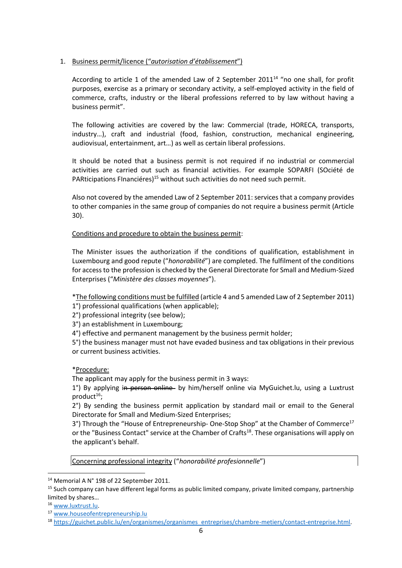# 1. Business permit/licence ("*autorisation d'établissement*")

According to article 1 of the amended Law of 2 September  $2011^{14}$  "no one shall, for profit purposes, exercise as a primary or secondary activity, a self-employed activity in the field of commerce, crafts, industry or the liberal professions referred to by law without having a business permit".

The following activities are covered by the law: Commercial (trade, HORECA, transports, industry…), craft and industrial (food, fashion, construction, mechanical engineering, audiovisual, entertainment, art…) as well as certain liberal professions.

It should be noted that a business permit is not required if no industrial or commercial activities are carried out such as financial activities. For example SOPARFI (SOciété de PARticipations FInanciéres)<sup>15</sup> without such activities do not need such permit.

Also not covered by the amended Law of 2 September 2011: services that a company provides to other companies in the same group of companies do not require a business permit (Article 30).

Conditions and procedure to obtain the business permit:

The Minister issues the authorization if the conditions of qualification, establishment in Luxembourg and good repute ("*honorabilité*") are completed. The fulfilment of the conditions for access to the profession is checked by the General Directorate for Small and Medium-Sized Enterprises ("*Ministère des classes moyennes*").

\*The following conditions must be fulfilled (article 4 and 5 amended Law of 2 September 2011) 1°) professional qualifications (when applicable);

2°) professional integrity (see below);

3°) an establishment in Luxembourg;

4°) effective and permanent management by the business permit holder;

5°) the business manager must not have evaded business and tax obligations in their previous or current business activities.

\*Procedure:

The applicant may apply for the business permit in 3 ways:

1<sup>°</sup>) By applying in person online by him/herself online via MyGuichet.lu, using a Luxtrust product $16$ ;

2°) By sending the business permit application by standard mail or email to the General Directorate for Small and Medium-Sized Enterprises;

3°) Through the "House of Entrepreneurship- One-Stop Shop" at the Chamber of Commerce<sup>17</sup> or the "Business Contact" service at the Chamber of Crafts<sup>18</sup>. These organisations will apply on the applicant's behalf.

Concerning professional integrity ("*honorabilité profesionnelle*")

<sup>16</sup> [www.luxtrust.lu.](http://www.luxtrust.lu/)

<sup>&</sup>lt;sup>14</sup> Memorial A N° 198 of 22 September 2011.

<sup>&</sup>lt;sup>15</sup> Such company can have different legal forms as public limited company, private limited company, partnership limited by shares…

<sup>17</sup> [www.houseofentrepreneurship.lu](https://www.houseofentrepreneurship.lu/)

<sup>18</sup> [https://guichet.public.lu/en/organismes/organismes\\_entreprises/chambre-metiers/contact-entreprise.html.](https://guichet.public.lu/en/organismes/organismes_entreprises/chambre-metiers/contact-entreprise.html)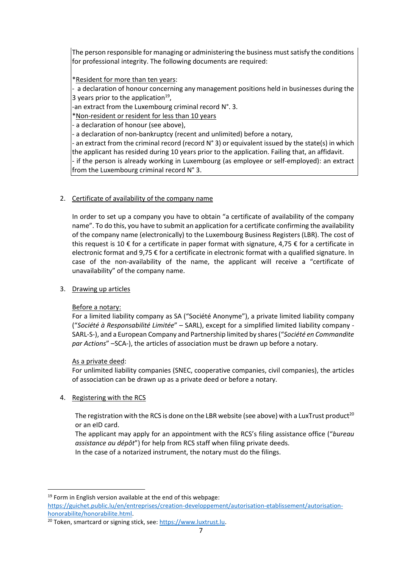The person responsible for managing or administering the business must satisfy the conditions for professional integrity. The following documents are required:

\*Resident for more than ten years:

- a declaration of honour concerning any management positions held in businesses during the 3 years prior to the application $^{19}$ ,

an extract from the Luxembourg criminal record N°. 3.

\*Non-resident or resident for less than 10 years

- a declaration of honour (see above),

- a declaration of non-bankruptcy (recent and unlimited) before a notary,

- an extract from the criminal record (record N° 3) or equivalent issued by the state(s) in which the applicant has resided during 10 years prior to the application. Failing that, an affidavit. - if the person is already working in Luxembourg (as employee or self-employed): an extract from the Luxembourg criminal record N° 3.

# 2. Certificate of availability of the company name

In order to set up a company you have to obtain "a certificate of availability of the company name". To do this, you have to submit an application for a certificate confirming the availability of the company name (electronically) to the Luxembourg Business Registers (LBR). The cost of this request is 10  $\epsilon$  for a certificate in paper format with signature, 4,75  $\epsilon$  for a certificate in electronic format and 9,75 € for a certificate in electronic format with a qualified signature. In case of the non-availability of the name, the applicant will receive a "certificate of unavailability" of the company name.

# 3. Drawing up articles

# Before a notary:

For a limited liability company as SA ("Société Anonyme"), a private limited liability company ("*Société à Responsabilité Limitée*" – SARL), except for a simplified limited liability company - SARL-S-), and a European Company and Partnership limited by shares ("*Société en Commandite par Actions*" –SCA-), the articles of association must be drawn up before a notary.

# As a private deed:

For unlimited liability companies (SNEC, cooperative companies, civil companies), the articles of association can be drawn up as a private deed or before a notary.

# 4. Registering with the RCS

The registration with the RCS is done on the LBR website (see above) with a LuxTrust product<sup>20</sup> or an eID card.

The applicant may apply for an appointment with the RCS's filing assistance office ("*bureau assistance au dépôt*") for help from RCS staff when filing private deeds.

In the case of a notarized instrument, the notary must do the filings.

<sup>19</sup> Form in English version available at the end of this webpage: [https://guichet.public.lu/en/entreprises/creation-developpement/autorisation-etablissement/autorisation](https://guichet.public.lu/en/entreprises/creation-developpement/autorisation-etablissement/autorisation-honorabilite/honorabilite.html)[honorabilite/honorabilite.html.](https://guichet.public.lu/en/entreprises/creation-developpement/autorisation-etablissement/autorisation-honorabilite/honorabilite.html)

<sup>&</sup>lt;sup>20</sup> Token, smartcard or signing stick, see: https://www.luxtrust.lu.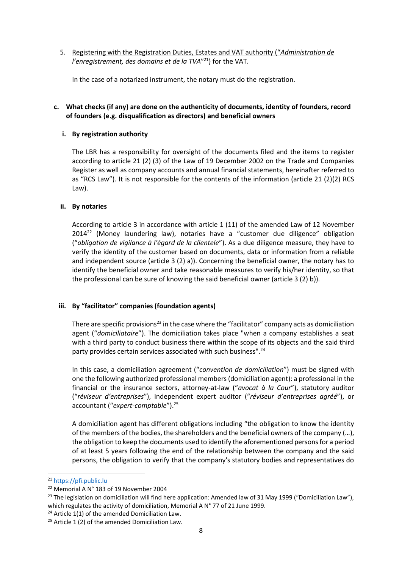5. Registering with the Registration Duties, Estates and VAT authority ("*Administration de l'enregistrement, des domains et de la TVA*" <sup>21</sup>) for the VAT.

In the case of a notarized instrument, the notary must do the registration.

# **c. What checks (if any) are done on the authenticity of documents, identity of founders, record of founders (e.g. disqualification as directors) and beneficial owners**

# **i. By registration authority**

The LBR has a responsibility for oversight of the documents filed and the items to register according to article 21 (2) (3) of the Law of 19 December 2002 on the Trade and Companies Register as well as company accounts and annual financial statements, hereinafter referred to as "RCS Law"). It is not responsible for the contents of the information (article 21 (2)(2) RCS Law).

#### **ii. By notaries**

According to article 3 in accordance with article 1 (11) of the amended Law of 12 November 2014<sup>22</sup> (Money laundering law), notaries have a "customer due diligence" obligation ("*obligation de vigilance à l'égard de la clientele*"). As a due diligence measure, they have to verify the identity of the customer based on documents, data or information from a reliable and independent source (article 3 (2) a)). Concerning the beneficial owner, the notary has to identify the beneficial owner and take reasonable measures to verify his/her identity, so that the professional can be sure of knowing the said beneficial owner (article 3 (2) b)).

# **iii. By "facilitator" companies (foundation agents)**

There are specific provisions<sup>23</sup> in the case where the "facilitator" company acts as domiciliation agent ("*domiciliataire*"). The domiciliation takes place "when a company establishes a seat with a third party to conduct business there within the scope of its objects and the said third party provides certain services associated with such business".<sup>24</sup>

In this case, a domiciliation agreement ("*convention de domiciliation*") must be signed with one the following authorized professional members(domiciliation agent): a professional in the financial or the insurance sectors, attorney-at-law ("*avocat à la Cour*"), statutory auditor ("*réviseur d'entreprises*"), independent expert auditor ("*réviseur d'entreprises agréé*"), or accountant ("*expert-comptable*"). 25

A domiciliation agent has different obligations including "the obligation to know the identity of the members of the bodies, the shareholders and the beneficial owners of the company (…), the obligation to keep the documents used to identify the aforementioned persons for a period of at least 5 years following the end of the relationship between the company and the said persons, the obligation to verify that the company's statutory bodies and representatives do

<sup>21</sup> [https://pfi.public.lu](https://pfi.public.lu/)

<sup>22</sup> Memorial A N° 183 of 19 November 2004

<sup>&</sup>lt;sup>23</sup> The legislation on domiciliation will find here application: Amended law of 31 May 1999 ("Domiciliation Law"), which regulates the activity of domiciliation, Memorial A N° 77 of 21 June 1999.

 $24$  Article 1(1) of the amended Domiciliation Law.

<sup>&</sup>lt;sup>25</sup> Article 1 (2) of the amended Domiciliation Law.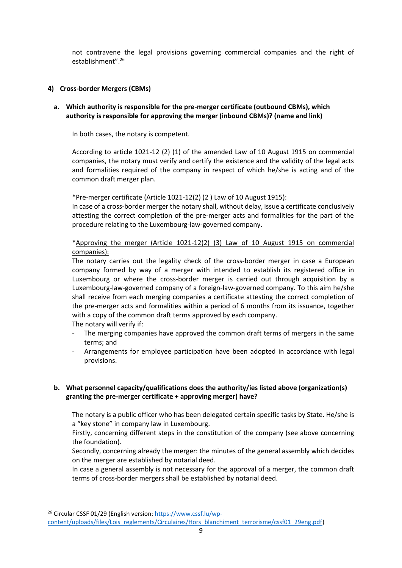not contravene the legal provisions governing commercial companies and the right of establishment". 26

#### **4) Cross-border Mergers (CBMs)**

# **a. Which authority is responsible for the pre-merger certificate (outbound CBMs), which authority is responsible for approving the merger (inbound CBMs)? (name and link)**

In both cases, the notary is competent.

According to article 1021-12 (2) (1) of the amended Law of 10 August 1915 on commercial companies, the notary must verify and certify the existence and the validity of the legal acts and formalities required of the company in respect of which he/she is acting and of the common draft merger plan.

\*Pre-merger certificate (Article 1021-12(2) (2 ) Law of 10 August 1915):

In case of a cross-border merger the notary shall, without delay, issue a certificate conclusively attesting the correct completion of the pre-merger acts and formalities for the part of the procedure relating to the Luxembourg-law-governed company.

\*Approving the merger (Article 1021-12(2) (3) Law of 10 August 1915 on commercial companies):

The notary carries out the legality check of the cross-border merger in case a European company formed by way of a merger with intended to establish its registered office in Luxembourg or where the cross-border merger is carried out through acquisition by a Luxembourg-law-governed company of a foreign-law-governed company. To this aim he/she shall receive from each merging companies a certificate attesting the correct completion of the pre-merger acts and formalities within a period of 6 months from its issuance, together with a copy of the common draft terms approved by each company.

The notary will verify if:

- The merging companies have approved the common draft terms of mergers in the same terms; and
- Arrangements for employee participation have been adopted in accordance with legal provisions.

# **b. What personnel capacity/qualifications does the authority/ies listed above (organization(s) granting the pre-merger certificate + approving merger) have?**

The notary is a public officer who has been delegated certain specific tasks by State. He/she is a "key stone" in company law in Luxembourg.

Firstly, concerning different steps in the constitution of the company (see above concerning the foundation).

Secondly, concerning already the merger: the minutes of the general assembly which decides on the merger are established by notarial deed.

In case a general assembly is not necessary for the approval of a merger, the common draft terms of cross-border mergers shall be established by notarial deed.

<sup>&</sup>lt;sup>26</sup> Circular CSSF 01/29 (English version[: https://www.cssf.lu/wp-](https://www.cssf.lu/wp-content/uploads/files/Lois_reglements/Circulaires/Hors_blanchiment_terrorisme/cssf01_29eng.pdf)